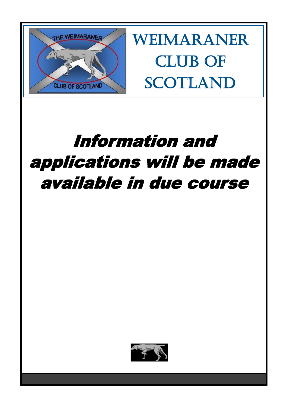

Weimaraner CLUB OF **SCOTLAND** 

# Information and applications will be made available in due course

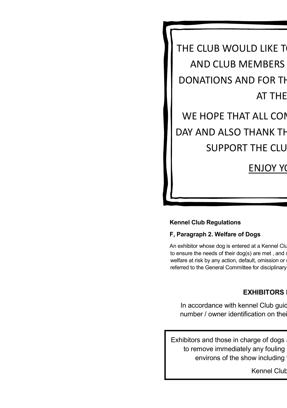THE CLUB WOULD LIKE T AND CLUB MEMBERS DONATIONS AND FOR TH **AT THE** 

## WE HOPE THAT ALL COM DAY AND ALSO THANK TH SUPPORT THE CLU

## **ENJOY YO**

#### **Kennel Club Regulations**

#### **F, Paragraph 2. Welfare of Dogs**

An exhibitor whose dog is entered at a Kennel Clu to ensure the needs of their dog(s) are met, and a welfare at risk by any action, default, omission or referred to the General Committee for disciplinary

#### **EXHIBITORS**

In accordance with kennel Club guidelines and the example of number / owner identification on the

Exhibitors and those in charge of dogs to remove immediately any fouling environs of the show including

Kennel Club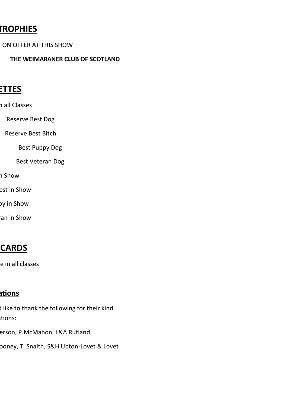## **CROPHIES**

- ON OFFER AT THIS SHOW
	- **THE WEIMARANER CLUB OF SCOTLAND**

## **ROSETTES**

- n all Classes
- Reserve Best Dog
- Reserve Best Bitch
	- Best Puppy Dog
	- Best Veteran Dog
- า Show
- est in Show
- by in Show
- an in Show

## **PRIZE CARDS**

e in all classes

## <u>ntions</u>

- I like to thank the following for their kind tions:
- erson, P.McMahon, L&A Rutland,
- ooney, T. Snaith, S&H Upton-Lovet & Lovet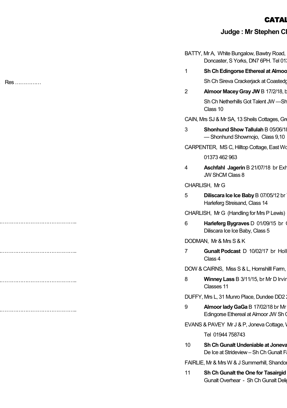### CATAL

## **Judge : Mr Stephen Clayforth**

|                        | BATTY, Mr A, White Bungalow, Bawtry Road,<br>Doncaster, S Yorks, DN7 6PH. Tel 01; |
|------------------------|-----------------------------------------------------------------------------------|
| 1                      | Sh Ch Edingorse Ethereal at Almoo                                                 |
|                        | Sh Ch Sireva Crackerjack at Coastedg                                              |
| $\overline{2}$         | Almoor Macey Gray JW B 17/2/18, b                                                 |
|                        | Sh Ch Netherhills Got Talent JW -Sh<br>Class 10                                   |
|                        | CAIN, Mrs SJ & Mr SA, 13 Sheils Cottages, Gre                                     |
| 3                      | Shonhund Show Tallulah B 05/06/18<br>-Shonhund Showmojo, Class 9,10               |
|                        | CARPENTER, MS C, Hilltop Cottage, East Wo                                         |
|                        | 01373 462 963                                                                     |
| 4                      | <b>Aschfahl Jagerin B 21/07/18 br Exh</b><br>JW ShCM Class 8                      |
| CHARLISH, Mr G         |                                                                                   |
| 5                      | Diliscara Ice Ice Baby B 07/05/12 br<br>Harleferg Streisand, Class 14             |
|                        | CHARLISH, Mr G (Handling for Mrs P Lewis)                                         |
| 6                      | Harleferg Bygraves D 01/09/15 br<br>Diliscara Ice Ice Baby, Class 5               |
| DODMAN, Mr & Mrs S & K |                                                                                   |
| 7                      | Gunalt Podcast D 10/02/17 br Holl<br>Class 4                                      |
|                        | DOW & CAIRNS, Miss S & L, Hornshill Farm,                                         |
| 8                      | Winney Lass B 3/11/15, br Mr D Irvin<br>Classes 11                                |
|                        | DUFFY, Mrs L, 31 Munro Place, Dundee DD2:                                         |
| 9                      | Almoor lady GaGa B 17/02/18 br Mr<br>Edingorse Ethereal at Almoor JW Sh 0         |
|                        | EVANS & PAVEY Mr J & P, Joneva Cottage, V                                         |
|                        | Tel 01944 758743                                                                  |
| 10 <sup>10</sup>       | Sh Ch Gunalt Undeniable at Joneva<br>De Ice at Strideview - Sh Ch Gunalt F        |
|                        | FAIRLIE, Mr & Mrs W & J Summerhill, Shandor                                       |
| 11                     | Sh Ch Gunalt the One for Tasairgid<br>Gunalt Overhear - Sh Ch Gunalt Deli         |
|                        |                                                                                   |

…………… Res ……………

……………………………………………..

……………………………………………..

……………………………………………..

……………………………………………..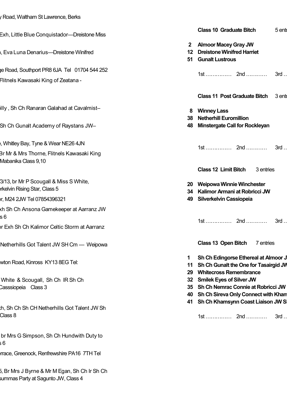| / Road, Waltham St Lawrence, Berks                                                                                                               |                                                                                                                                                        |
|--------------------------------------------------------------------------------------------------------------------------------------------------|--------------------------------------------------------------------------------------------------------------------------------------------------------|
| Exh, Little Blue Conquistador—Dreistone Miss                                                                                                     | <b>Class 10 Graduate Bitch</b><br>5 enti                                                                                                               |
| i, Eva Luna Denarius—Dreistone Winifred                                                                                                          | <b>Almoor Macey Gray JW</b><br>$\mathbf{2}$<br>12 Dreistone Winifred Harriet<br>51 Gunalt Lustrous                                                     |
| e Road, Southport PR8 6JA Tel 01704 544 252<br>Flitnels Kawasaki King of Zeatana -                                                               | $3rd$                                                                                                                                                  |
| illy, Sh Ch Ranaran Galahad at Cavalmist-<br>Sh Ch Gunalt Academy of Raystans JW–                                                                | Class 11 Post Graduate Bitch 3 ent<br><b>Winney Lass</b><br>8<br>38 Netherhill Euromillion<br>Minstergate Call for Rockleyan<br>48                     |
| , Whitley Bay, Tyne & Wear NE26 4JN<br>Br Mr & Mrs Thorne, Flitnels Kawasaki King<br>Mabanika Class 9,10                                         |                                                                                                                                                        |
| 3/13, br Mr P Scougall & Miss S White,<br>rkelvin Rising Star, Class 5<br>r, M24 2JW Tel 07854396321<br>kh Sh Ch Ansona Gamekeeper at Aarranz JW | <b>Class 12 Limit Bitch</b><br>3 entries<br>20 Weipowa Winnie Winchester<br>34 Kalimor Armani at Robricci JW<br>49 Silverkelvin Cassiopeia             |
| s 6<br>or Exh Sh Ch Kalimor Celtic Storm at Aarranz                                                                                              |                                                                                                                                                        |
| Netherhills Got Talent JW SH Cm — Weipowa                                                                                                        | Class 13 Open Bitch<br>7 entries                                                                                                                       |
| wton Road, Kinross KY13 8EG Tel:                                                                                                                 | Sh Ch Edingorse Ethereal at Almoor J<br>1<br>11 Sh Ch Gunalt the One for Tasairgid JV<br><b>Whitecross Remembrance</b><br>29                           |
| White & Scougall, Sh Ch IR Sh Ch<br>Casssiopeia Class 3                                                                                          | 32 Smilek Eyes of Silver JW<br>35 Sh Ch Nemrac Connie at Robricci JW<br>40 Sh Ch Sireva Only Connect with Khan<br>41 Sh Ch Khamsynn Coast Liaison JW S |
| th, Sh Ch Sh CH Netherhills Got Talent JW Sh<br>Class 8                                                                                          | 3rd                                                                                                                                                    |
| br Mrs G Simpson, Sh Ch Hundwith Duty to<br>6                                                                                                    |                                                                                                                                                        |
| rrace, Greenock, Renfrewshire PA16 7TH Tel                                                                                                       |                                                                                                                                                        |

5, Br Mrs J Byrne & Mr M Egan, Sh Ch Ir Sh Ch summas Party at Sagunto JW, Class 4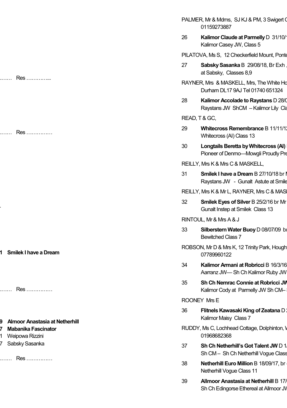…………… Res …………...

…………… Res ……………

**31 Smilek I have a Dream** 

…

…………… Res ……………

#### **39 Almoor Anastasia at Netherhill**

- **47 Mabanika Fascinator**
- 21 Weipowa Rizzini
- 27 Sabsky Sasanka

…………… Res ……………

- PALMER, Mr & Mdms, SJ KJ & PM, 3 Swigert ( 01159273887
- 26 **Kalimor Claude at Parmelly D 31/10/16** Kalimor Casey JW, Class 5
- PILATOVA, Ms S, 12 Checkerfield Mount, Ponte
- 27 **Sabsky Sasanka B** 29/08/18, Br Exh at Sabsky, Classes 8,9
- RAYNER, Mrs & MASKELL, Mrs, The White House J Durham DL17 9AJ Tel 01740 651324
- 28 **Kalimor Accolade to Raystans D 28/0** Raystans JW ShCM - Kalimor Lily Cla

READ, T & GC,

- 29 **Whitecross Remembrance B 11/11/1** Whitecross (AI) Class 13
- 30 **Longtails Beretta by Whitecross (AI)** Pioneer of Denmo—Mowgli Proudly Pre
- REILLY, Mrs K & Mrs C & MASKELL,
- 31 **Smilek I have a Dream B 27/10/18 br Lg** Raystans JW - Gunalt Astute at Smile
- REILLY, Mrs K & Mr L, RAYNER, Mrs C & MAS
- 32 **Smilek Eyes of Silver B 25/2/16 br Mr** Gunalt Instep at Smilek Class 13

RINTOUL, Mr & Mrs A & J

- 33 **Silberstern Water Buoy** D 08/07/09 b Bewitched Class 7
- ROBSON, Mr D & Mrs K, 12 Trinity Park, Hough 07789960122
- 34 **Kalimor Armani at Robricci B 16/3/16** Aarranz JW-Sh Ch Kalimor Ruby JW
- **35** Sh Ch Nemrac Connie at Robricci JV Kalimor Cody at Parmelly JW Sh CM-

ROONEY Mrs E

- 36 **Flitnels Kawasaki King of Zeatana** D Kalimor Maisy Class 7
- RUDDY, Ms C, Lochhead Cottage, Dolphinton, \ 01968682368
- 37 **Sh Ch Netherhill's Got Talent JW D 1** Sh CM - Sh Ch Netherhill Voque Class
- 38 **Netherhill Euro Million B 18/09/17, br** Netherhill Vogue Class 11
- 39 **Allmoor Anastasia at Netherhill B 17/** Sh Ch Edingorse Ethereal at Allmoor JV